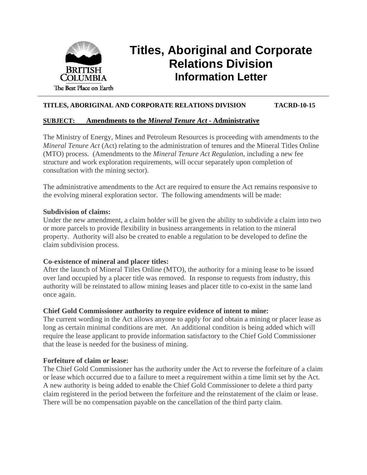

# **Titles, Aboriginal and Corporate Relations Division Information Letter**

## **TITLES, ABORIGINAL AND CORPORATE RELATIONS DIVISION TACRD-10-15**

#### **SUBJECT: Amendments to the** *Mineral Tenure Act -* **Administrative**

The Ministry of Energy, Mines and Petroleum Resources is proceeding with amendments to the *Mineral Tenure Act* (Act) relating to the administration of tenures and the Mineral Titles Online (MTO) process. (Amendments to the *Mineral Tenure Act Regulation*, including a new fee structure and work exploration requirements, will occur separately upon completion of consultation with the mining sector).

The administrative amendments to the Act are required to ensure the Act remains responsive to the evolving mineral exploration sector. The following amendments will be made:

#### **Subdivision of claims:**

Under the new amendment, a claim holder will be given the ability to subdivide a claim into two or more parcels to provide flexibility in business arrangements in relation to the mineral property. Authority will also be created to enable a regulation to be developed to define the claim subdivision process.

## **Co-existence of mineral and placer titles:**

After the launch of Mineral Titles Online (MTO), the authority for a mining lease to be issued over land occupied by a placer title was removed. In response to requests from industry, this authority will be reinstated to allow mining leases and placer title to co-exist in the same land once again.

## **Chief Gold Commissioner authority to require evidence of intent to mine:**

The current wording in the Act allows anyone to apply for and obtain a mining or placer lease as long as certain minimal conditions are met. An additional condition is being added which will require the lease applicant to provide information satisfactory to the Chief Gold Commissioner that the lease is needed for the business of mining.

## **Forfeiture of claim or lease:**

The Chief Gold Commissioner has the authority under the Act to reverse the forfeiture of a claim or lease which occurred due to a failure to meet a requirement within a time limit set by the Act. A new authority is being added to enable the Chief Gold Commissioner to delete a third party claim registered in the period between the forfeiture and the reinstatement of the claim or lease. There will be no compensation payable on the cancellation of the third party claim.